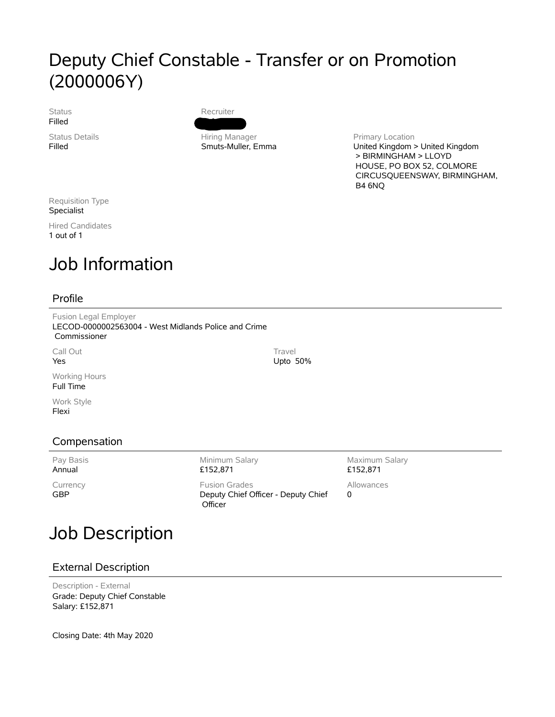### Deputy Chief Constable - Transfer or on Promotion (2000006Y)

Status Filled

Status Details Filled

Recruiter Daft, Karen

Hiring Manager Smuts-Muller, Emma

Primary Location United Kingdom > United Kingdom > BIRMINGHAM > LLOYD HOUSE, PO BOX 52, COLMORE CIRCUSQUEENSWAY, BIRMINGHAM, B4 6NQ

Requisition Type Specialist

Hired Candidates 1 out of 1

# Job Information

#### Profile

Fusion Legal Employer LECOD-0000002563004 - West Midlands Police and Crime Commissioner

Call Out Yes

Working Hours Full Time

Work Style Flexi

### Compensation

Pay Basis Annual

Currency GBP

Minimum Salary £152,871 Fusion Grades

Deputy Chief Officer - Deputy Chief **Officer** 

Maximum Salary £152,871

Allowances 0

# Job Description

### External Description

Description - External Grade: Deputy Chief Constable Salary: £152,871

Closing Date: 4th May 2020

**Travel** Upto 50%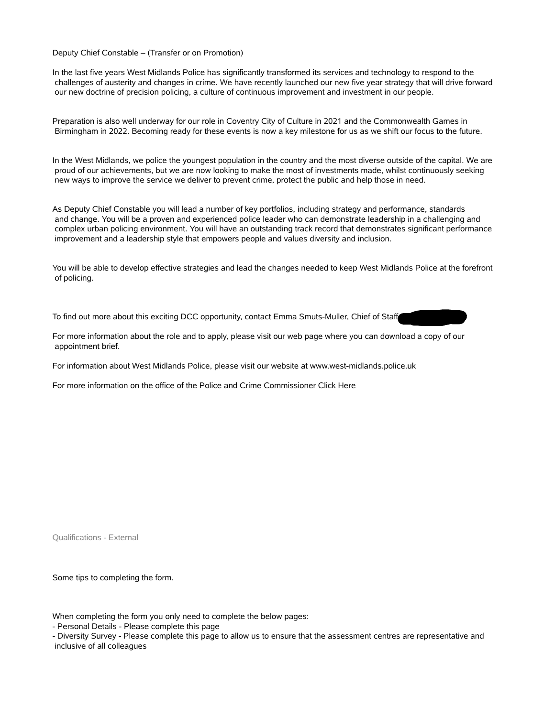Deputy Chief Constable – (Transfer or on Promotion)

In the last five years West Midlands Police has significantly transformed its services and technology to respond to the challenges of austerity and changes in crime. We have recently launched our new five year strategy that will drive forward our new doctrine of precision policing, a culture of continuous improvement and investment in our people.

Preparation is also well underway for our role in Coventry City of Culture in 2021 and the Commonwealth Games in Birmingham in 2022. Becoming ready for these events is now a key milestone for us as we shift our focus to the future.

In the West Midlands, we police the youngest population in the country and the most diverse outside of the capital. We are proud of our achievements, but we are now looking to make the most of investments made, whilst continuously seeking new ways to improve the service we deliver to prevent crime, protect the public and help those in need.

As Deputy Chief Constable you will lead a number of key portfolios, including strategy and performance, standards and change. You will be a proven and experienced police leader who can demonstrate leadership in a challenging and complex urban policing environment. You will have an outstanding track record that demonstrates significant performance improvement and a leadership style that empowers people and values diversity and inclusion.

You will be able to develop effective strategies and lead the changes needed to keep West Midlands Police at the forefront of policing.

To find out more about this exciting DCC opportunity, contact Emma Smuts-Muller, Chief of Staff

For more information about the role and to apply, please visit our web page where you can download a copy of our appointment brief.

For information about West Midlands Police, please visit our website at www.west-midlands.police.uk

For more information on the office of the Police and Crime Commissioner Click Here

Qualifications - External

Some tips to completing the form.

When completing the form you only need to complete the below pages:

- Diversity Survey - Please complete this page to allow us to ensure that the assessment centres are representative and inclusive of all colleagues

<sup>-</sup> Personal Details - Please complete this page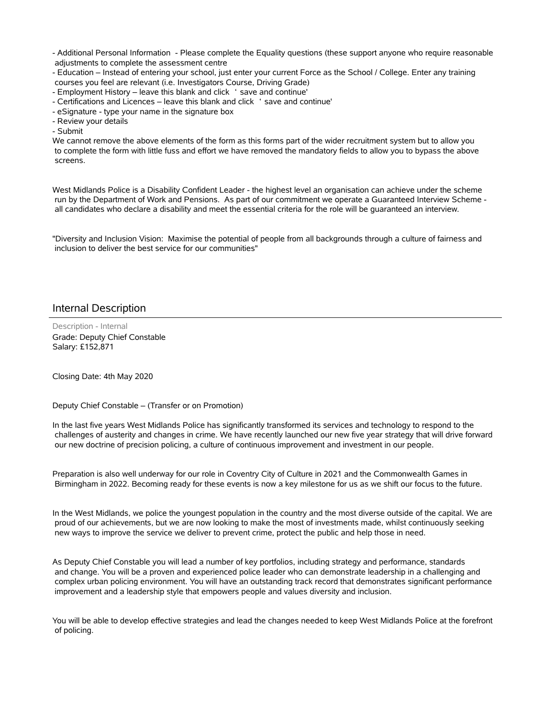- Additional Personal Information - Please complete the Equality questions (these support anyone who require reasonable adjustments to complete the assessment centre

- Education – Instead of entering your school, just enter your current Force as the School / College. Enter any training courses you feel are relevant (i.e. Investigators Course, Driving Grade)

- Employment History – leave this blank and click ' save and continue'

- Certifications and Licences – leave this blank and click 'save and continue'

- eSignature - type your name in the signature box

- Review your details

- Submit

We cannot remove the above elements of the form as this forms part of the wider recruitment system but to allow you to complete the form with little fuss and effort we have removed the mandatory fields to allow you to bypass the above screens.

West Midlands Police is a Disability Confident Leader - the highest level an organisation can achieve under the scheme run by the Department of Work and Pensions. As part of our commitment we operate a Guaranteed Interview Scheme all candidates who declare a disability and meet the essential criteria for the role will be guaranteed an interview.

"Diversity and Inclusion Vision: Maximise the potential of people from all backgrounds through a culture of fairness and inclusion to deliver the best service for our communities"

#### Internal Description

Description - Internal Grade: Deputy Chief Constable Salary: £152,871

Closing Date: 4th May 2020

Deputy Chief Constable – (Transfer or on Promotion)

In the last five years West Midlands Police has significantly transformed its services and technology to respond to the challenges of austerity and changes in crime. We have recently launched our new five year strategy that will drive forward our new doctrine of precision policing, a culture of continuous improvement and investment in our people.

Preparation is also well underway for our role in Coventry City of Culture in 2021 and the Commonwealth Games in Birmingham in 2022. Becoming ready for these events is now a key milestone for us as we shift our focus to the future.

In the West Midlands, we police the youngest population in the country and the most diverse outside of the capital. We are proud of our achievements, but we are now looking to make the most of investments made, whilst continuously seeking new ways to improve the service we deliver to prevent crime, protect the public and help those in need.

As Deputy Chief Constable you will lead a number of key portfolios, including strategy and performance, standards and change. You will be a proven and experienced police leader who can demonstrate leadership in a challenging and complex urban policing environment. You will have an outstanding track record that demonstrates significant performance improvement and a leadership style that empowers people and values diversity and inclusion.

You will be able to develop effective strategies and lead the changes needed to keep West Midlands Police at the forefront of policing.